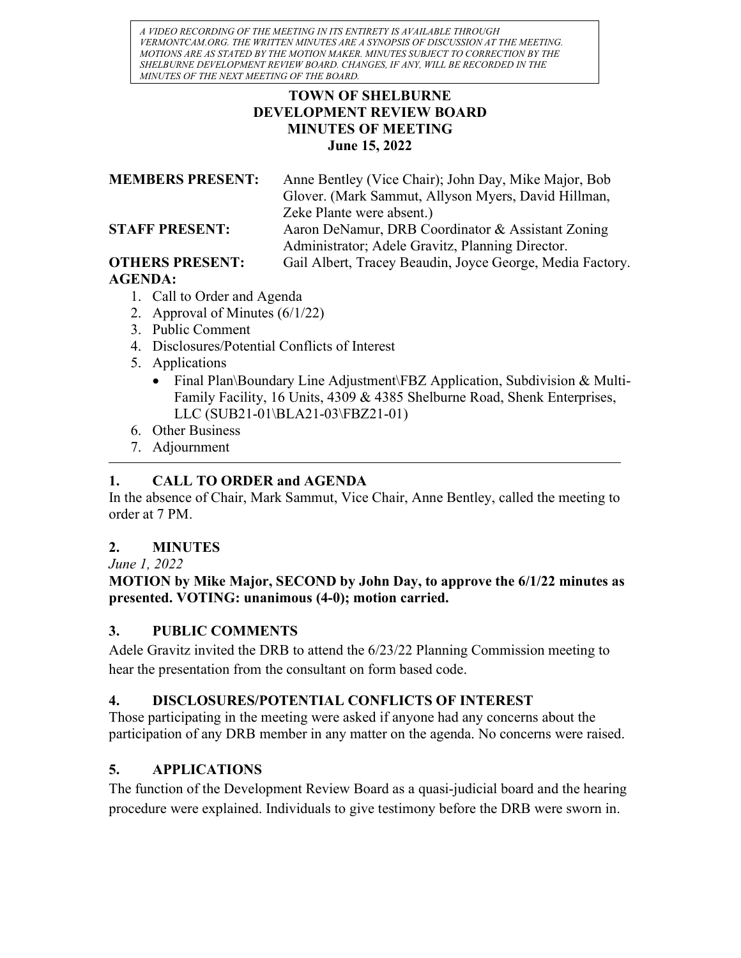A VIDEO RECORDING OF THE MEETING IN ITS ENTIRETY IS AVAILABLE THROUGH VERMONTCAM.ORG. THE WRITTEN MINUTES ARE A SYNOPSIS OF DISCUSSION AT THE MEETING. MOTIONS ARE AS STATED BY THE MOTION MAKER. MINUTES SUBJECT TO CORRECTION BY THE SHELBURNE DEVELOPMENT REVIEW BOARD. CHANGES, IF ANY, WILL BE RECORDED IN THE MINUTES OF THE NEXT MEETING OF THE BOARD.

#### TOWN OF SHELBURNE DEVELOPMENT REVIEW BOARD MINUTES OF MEETING June 15, 2022

MEMBERS PRESENT: Anne Bentley (Vice Chair); John Day, Mike Major, Bob Glover. (Mark Sammut, Allyson Myers, David Hillman, Zeke Plante were absent.) STAFF PRESENT: Aaron DeNamur, DRB Coordinator & Assistant Zoning Administrator; Adele Gravitz, Planning Director. OTHERS PRESENT: Gail Albert, Tracey Beaudin, Joyce George, Media Factory.

# AGENDA:

- 1. Call to Order and Agenda
- 2. Approval of Minutes (6/1/22)
- 3. Public Comment
- 4. Disclosures/Potential Conflicts of Interest
- 5. Applications
	- Final Plan\Boundary Line Adjustment\FBZ Application, Subdivision & Multi-Family Facility, 16 Units, 4309 & 4385 Shelburne Road, Shenk Enterprises, LLC (SUB21-01\BLA21-03\FBZ21-01)
- 6. Other Business
- 7. Adjournment

# 1. CALL TO ORDER and AGENDA

In the absence of Chair, Mark Sammut, Vice Chair, Anne Bentley, called the meeting to order at 7 PM.

# 2. MINUTES

June 1, 2022

#### MOTION by Mike Major, SECOND by John Day, to approve the 6/1/22 minutes as presented. VOTING: unanimous (4-0); motion carried.

# 3. PUBLIC COMMENTS

Adele Gravitz invited the DRB to attend the 6/23/22 Planning Commission meeting to hear the presentation from the consultant on form based code.

# 4. DISCLOSURES/POTENTIAL CONFLICTS OF INTEREST

Those participating in the meeting were asked if anyone had any concerns about the participation of any DRB member in any matter on the agenda. No concerns were raised.

# 5. APPLICATIONS

The function of the Development Review Board as a quasi-judicial board and the hearing procedure were explained. Individuals to give testimony before the DRB were sworn in.